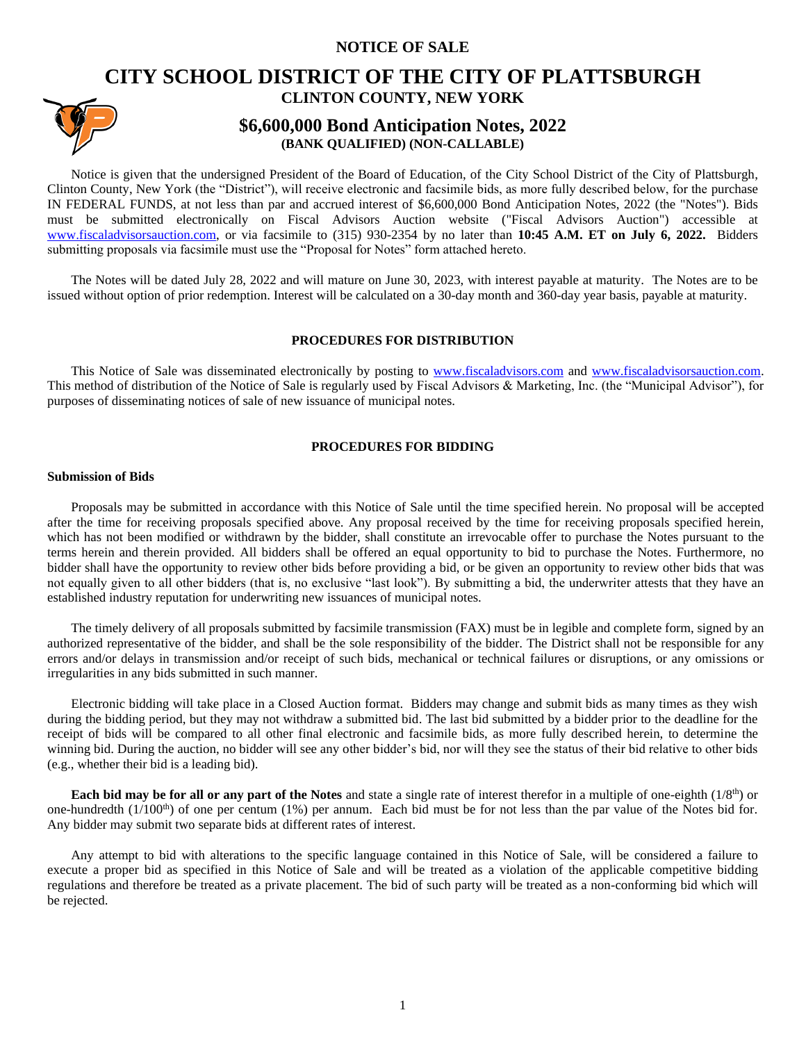## **NOTICE OF SALE**

# **[CI](https://www.google.com/url?sa=i&url=https%3A%2F%2Fwww.facebook.com%2Fplattscsd%2F&psig=AOvVaw1eiT-CUNZgs9KDyu51L2es&ust=1601040531473000&source=images&cd=vfe&ved=0CAIQjRxqFwoTCPDA8PPygewCFQAAAAAdAAAAABAD)TY SCHOOL DISTRICT OF THE CITY OF PLATTSBURGH CLINTON COUNTY, NEW YORK**



# **\$6,600,000 Bond Anticipation Notes, 2022 (BANK QUALIFIED) (NON-CALLABLE)**

Notice is given that the undersigned President of the Board of Education, of the City School District of the City of Plattsburgh, Clinton County, New York (the "District"), will receive electronic and facsimile bids, as more fully described below, for the purchase IN FEDERAL FUNDS, at not less than par and accrued interest of \$6,600,000 Bond Anticipation Notes, 2022 (the "Notes"). Bids must be submitted electronically on Fiscal Advisors Auction website ("Fiscal Advisors Auction") accessible at www.fiscaladvisorsauction.com, or via facsimile to (315) 930-2354 by no later than **10:45 A.M. ET on July 6, 2022.** Bidders submitting proposals via facsimile must use the "Proposal for Notes" form attached hereto.

The Notes will be dated July 28, 2022 and will mature on June 30, 2023, with interest payable at maturity. The Notes are to be issued without option of prior redemption. Interest will be calculated on a 30-day month and 360-day year basis, payable at maturity.

## **PROCEDURES FOR DISTRIBUTION**

This Notice of Sale was disseminated electronically by posting to [www.fiscaladvisors.com](http://www.fiscaladvisors.com/) and [www.fiscaladvisorsauction.com.](http://www.fiscaladvisorsauction.com/) This method of distribution of the Notice of Sale is regularly used by Fiscal Advisors & Marketing, Inc. (the "Municipal Advisor"), for purposes of disseminating notices of sale of new issuance of municipal notes.

## **PROCEDURES FOR BIDDING**

## **Submission of Bids**

Proposals may be submitted in accordance with this Notice of Sale until the time specified herein. No proposal will be accepted after the time for receiving proposals specified above. Any proposal received by the time for receiving proposals specified herein, which has not been modified or withdrawn by the bidder, shall constitute an irrevocable offer to purchase the Notes pursuant to the terms herein and therein provided. All bidders shall be offered an equal opportunity to bid to purchase the Notes. Furthermore, no bidder shall have the opportunity to review other bids before providing a bid, or be given an opportunity to review other bids that was not equally given to all other bidders (that is, no exclusive "last look"). By submitting a bid, the underwriter attests that they have an established industry reputation for underwriting new issuances of municipal notes.

The timely delivery of all proposals submitted by facsimile transmission (FAX) must be in legible and complete form, signed by an authorized representative of the bidder, and shall be the sole responsibility of the bidder. The District shall not be responsible for any errors and/or delays in transmission and/or receipt of such bids, mechanical or technical failures or disruptions, or any omissions or irregularities in any bids submitted in such manner.

Electronic bidding will take place in a Closed Auction format. Bidders may change and submit bids as many times as they wish during the bidding period, but they may not withdraw a submitted bid. The last bid submitted by a bidder prior to the deadline for the receipt of bids will be compared to all other final electronic and facsimile bids, as more fully described herein, to determine the winning bid. During the auction, no bidder will see any other bidder's bid, nor will they see the status of their bid relative to other bids (e.g., whether their bid is a leading bid).

**Each bid may be for all or any part of the Notes** and state a single rate of interest therefor in a multiple of one-eighth (1/8<sup>th</sup>) or one-hundredth  $(1/100<sup>th</sup>)$  of one per centum (1%) per annum. Each bid must be for not less than the par value of the Notes bid for. Any bidder may submit two separate bids at different rates of interest.

Any attempt to bid with alterations to the specific language contained in this Notice of Sale, will be considered a failure to execute a proper bid as specified in this Notice of Sale and will be treated as a violation of the applicable competitive bidding regulations and therefore be treated as a private placement. The bid of such party will be treated as a non-conforming bid which will be rejected.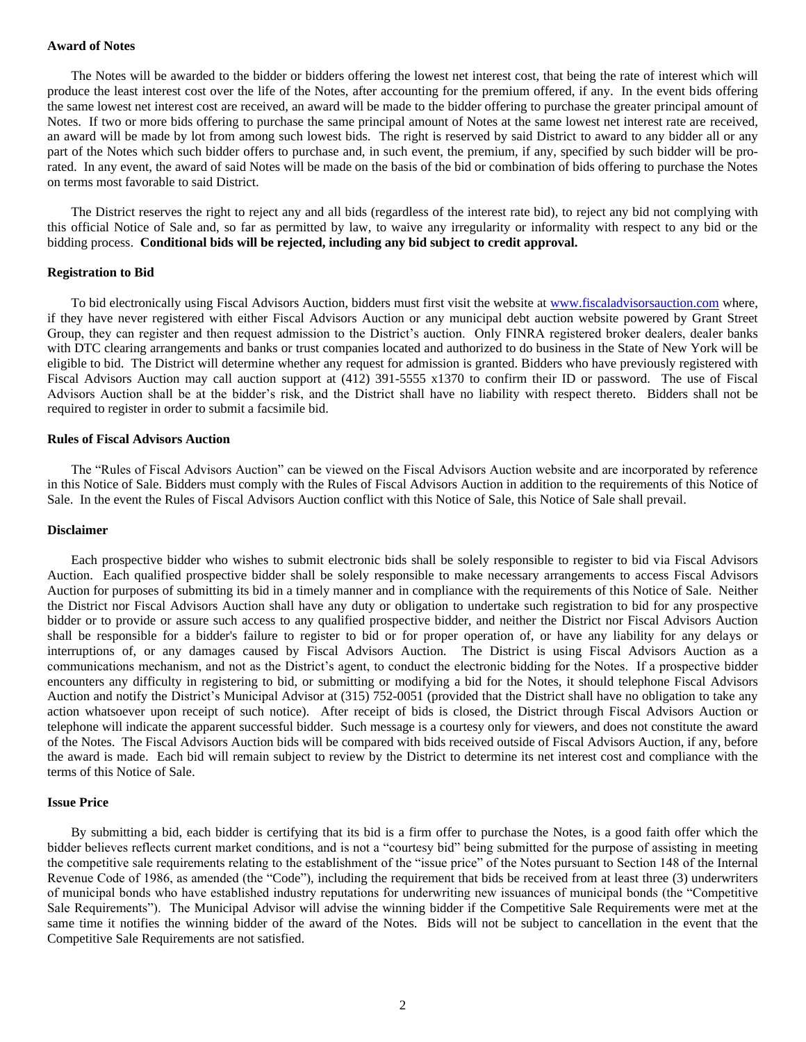## **Award of Notes**

The Notes will be awarded to the bidder or bidders offering the lowest net interest cost, that being the rate of interest which will produce the least interest cost over the life of the Notes, after accounting for the premium offered, if any. In the event bids offering the same lowest net interest cost are received, an award will be made to the bidder offering to purchase the greater principal amount of Notes. If two or more bids offering to purchase the same principal amount of Notes at the same lowest net interest rate are received, an award will be made by lot from among such lowest bids. The right is reserved by said District to award to any bidder all or any part of the Notes which such bidder offers to purchase and, in such event, the premium, if any, specified by such bidder will be prorated. In any event, the award of said Notes will be made on the basis of the bid or combination of bids offering to purchase the Notes on terms most favorable to said District.

The District reserves the right to reject any and all bids (regardless of the interest rate bid), to reject any bid not complying with this official Notice of Sale and, so far as permitted by law, to waive any irregularity or informality with respect to any bid or the bidding process. **Conditional bids will be rejected, including any bid subject to credit approval.**

#### **Registration to Bid**

To bid electronically using Fiscal Advisors Auction, bidders must first visit the website at [www.fiscaladvisorsauction.com](http://www.fiscaladvisorsauction.com/) where, if they have never registered with either Fiscal Advisors Auction or any municipal debt auction website powered by Grant Street Group, they can register and then request admission to the District's auction. Only FINRA registered broker dealers, dealer banks with DTC clearing arrangements and banks or trust companies located and authorized to do business in the State of New York will be eligible to bid. The District will determine whether any request for admission is granted. Bidders who have previously registered with Fiscal Advisors Auction may call auction support at (412) 391-5555 x1370 to confirm their ID or password. The use of Fiscal Advisors Auction shall be at the bidder's risk, and the District shall have no liability with respect thereto. Bidders shall not be required to register in order to submit a facsimile bid.

## **Rules of Fiscal Advisors Auction**

The "Rules of Fiscal Advisors Auction" can be viewed on the Fiscal Advisors Auction website and are incorporated by reference in this Notice of Sale. Bidders must comply with the Rules of Fiscal Advisors Auction in addition to the requirements of this Notice of Sale. In the event the Rules of Fiscal Advisors Auction conflict with this Notice of Sale, this Notice of Sale shall prevail.

## **Disclaimer**

Each prospective bidder who wishes to submit electronic bids shall be solely responsible to register to bid via Fiscal Advisors Auction. Each qualified prospective bidder shall be solely responsible to make necessary arrangements to access Fiscal Advisors Auction for purposes of submitting its bid in a timely manner and in compliance with the requirements of this Notice of Sale. Neither the District nor Fiscal Advisors Auction shall have any duty or obligation to undertake such registration to bid for any prospective bidder or to provide or assure such access to any qualified prospective bidder, and neither the District nor Fiscal Advisors Auction shall be responsible for a bidder's failure to register to bid or for proper operation of, or have any liability for any delays or interruptions of, or any damages caused by Fiscal Advisors Auction. The District is using Fiscal Advisors Auction as a communications mechanism, and not as the District's agent, to conduct the electronic bidding for the Notes. If a prospective bidder encounters any difficulty in registering to bid, or submitting or modifying a bid for the Notes, it should telephone Fiscal Advisors Auction and notify the District's Municipal Advisor at (315) 752-0051 (provided that the District shall have no obligation to take any action whatsoever upon receipt of such notice). After receipt of bids is closed, the District through Fiscal Advisors Auction or telephone will indicate the apparent successful bidder. Such message is a courtesy only for viewers, and does not constitute the award of the Notes. The Fiscal Advisors Auction bids will be compared with bids received outside of Fiscal Advisors Auction, if any, before the award is made. Each bid will remain subject to review by the District to determine its net interest cost and compliance with the terms of this Notice of Sale.

## **Issue Price**

By submitting a bid, each bidder is certifying that its bid is a firm offer to purchase the Notes, is a good faith offer which the bidder believes reflects current market conditions, and is not a "courtesy bid" being submitted for the purpose of assisting in meeting the competitive sale requirements relating to the establishment of the "issue price" of the Notes pursuant to Section 148 of the Internal Revenue Code of 1986, as amended (the "Code"), including the requirement that bids be received from at least three (3) underwriters of municipal bonds who have established industry reputations for underwriting new issuances of municipal bonds (the "Competitive Sale Requirements"). The Municipal Advisor will advise the winning bidder if the Competitive Sale Requirements were met at the same time it notifies the winning bidder of the award of the Notes. Bids will not be subject to cancellation in the event that the Competitive Sale Requirements are not satisfied.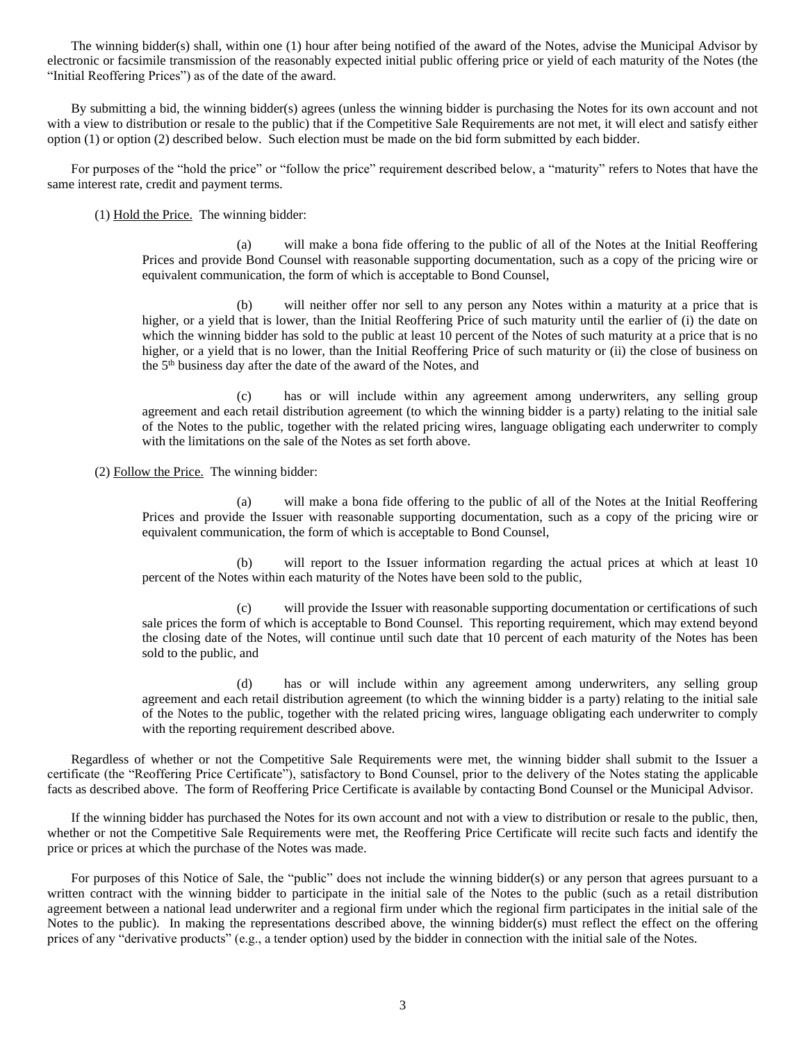The winning bidder(s) shall, within one (1) hour after being notified of the award of the Notes, advise the Municipal Advisor by electronic or facsimile transmission of the reasonably expected initial public offering price or yield of each maturity of the Notes (the "Initial Reoffering Prices") as of the date of the award.

By submitting a bid, the winning bidder(s) agrees (unless the winning bidder is purchasing the Notes for its own account and not with a view to distribution or resale to the public) that if the Competitive Sale Requirements are not met, it will elect and satisfy either option (1) or option (2) described below. Such election must be made on the bid form submitted by each bidder.

For purposes of the "hold the price" or "follow the price" requirement described below, a "maturity" refers to Notes that have the same interest rate, credit and payment terms.

(1) Hold the Price. The winning bidder:

(a) will make a bona fide offering to the public of all of the Notes at the Initial Reoffering Prices and provide Bond Counsel with reasonable supporting documentation, such as a copy of the pricing wire or equivalent communication, the form of which is acceptable to Bond Counsel,

(b) will neither offer nor sell to any person any Notes within a maturity at a price that is higher, or a yield that is lower, than the Initial Reoffering Price of such maturity until the earlier of (i) the date on which the winning bidder has sold to the public at least 10 percent of the Notes of such maturity at a price that is no higher, or a yield that is no lower, than the Initial Reoffering Price of such maturity or (ii) the close of business on the 5th business day after the date of the award of the Notes, and

(c) has or will include within any agreement among underwriters, any selling group agreement and each retail distribution agreement (to which the winning bidder is a party) relating to the initial sale of the Notes to the public, together with the related pricing wires, language obligating each underwriter to comply with the limitations on the sale of the Notes as set forth above.

(2) Follow the Price. The winning bidder:

(a) will make a bona fide offering to the public of all of the Notes at the Initial Reoffering Prices and provide the Issuer with reasonable supporting documentation, such as a copy of the pricing wire or equivalent communication, the form of which is acceptable to Bond Counsel,

(b) will report to the Issuer information regarding the actual prices at which at least 10 percent of the Notes within each maturity of the Notes have been sold to the public,

(c) will provide the Issuer with reasonable supporting documentation or certifications of such sale prices the form of which is acceptable to Bond Counsel. This reporting requirement, which may extend beyond the closing date of the Notes, will continue until such date that 10 percent of each maturity of the Notes has been sold to the public, and

(d) has or will include within any agreement among underwriters, any selling group agreement and each retail distribution agreement (to which the winning bidder is a party) relating to the initial sale of the Notes to the public, together with the related pricing wires, language obligating each underwriter to comply with the reporting requirement described above.

Regardless of whether or not the Competitive Sale Requirements were met, the winning bidder shall submit to the Issuer a certificate (the "Reoffering Price Certificate"), satisfactory to Bond Counsel, prior to the delivery of the Notes stating the applicable facts as described above. The form of Reoffering Price Certificate is available by contacting Bond Counsel or the Municipal Advisor.

If the winning bidder has purchased the Notes for its own account and not with a view to distribution or resale to the public, then, whether or not the Competitive Sale Requirements were met, the Reoffering Price Certificate will recite such facts and identify the price or prices at which the purchase of the Notes was made.

For purposes of this Notice of Sale, the "public" does not include the winning bidder(s) or any person that agrees pursuant to a written contract with the winning bidder to participate in the initial sale of the Notes to the public (such as a retail distribution agreement between a national lead underwriter and a regional firm under which the regional firm participates in the initial sale of the Notes to the public). In making the representations described above, the winning bidder(s) must reflect the effect on the offering prices of any "derivative products" (e.g., a tender option) used by the bidder in connection with the initial sale of the Notes.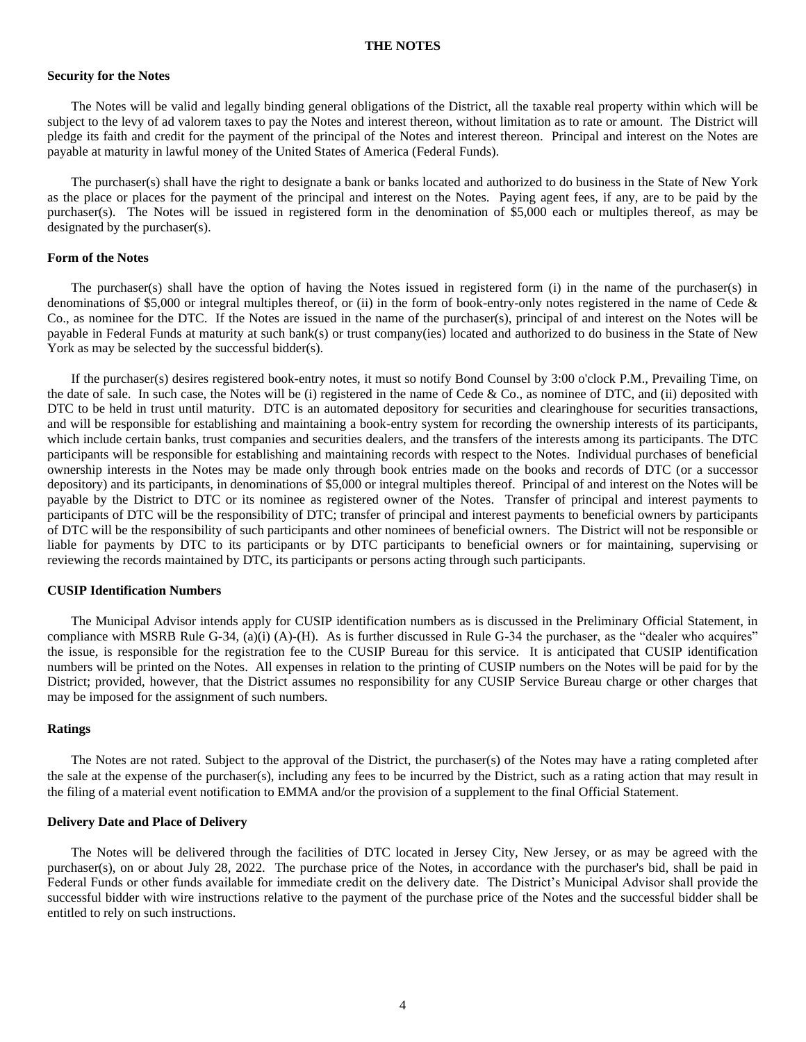#### **THE NOTES**

## **Security for the Notes**

The Notes will be valid and legally binding general obligations of the District, all the taxable real property within which will be subject to the levy of ad valorem taxes to pay the Notes and interest thereon, without limitation as to rate or amount. The District will pledge its faith and credit for the payment of the principal of the Notes and interest thereon. Principal and interest on the Notes are payable at maturity in lawful money of the United States of America (Federal Funds).

The purchaser(s) shall have the right to designate a bank or banks located and authorized to do business in the State of New York as the place or places for the payment of the principal and interest on the Notes. Paying agent fees, if any, are to be paid by the purchaser(s). The Notes will be issued in registered form in the denomination of \$5,000 each or multiples thereof, as may be designated by the purchaser(s).

## **Form of the Notes**

The purchaser(s) shall have the option of having the Notes issued in registered form (i) in the name of the purchaser(s) in denominations of \$5,000 or integral multiples thereof, or (ii) in the form of book-entry-only notes registered in the name of Cede & Co., as nominee for the DTC. If the Notes are issued in the name of the purchaser(s), principal of and interest on the Notes will be payable in Federal Funds at maturity at such bank(s) or trust company(ies) located and authorized to do business in the State of New York as may be selected by the successful bidder(s).

If the purchaser(s) desires registered book-entry notes, it must so notify Bond Counsel by 3:00 o'clock P.M., Prevailing Time, on the date of sale. In such case, the Notes will be (i) registered in the name of Cede & Co., as nominee of DTC, and (ii) deposited with DTC to be held in trust until maturity. DTC is an automated depository for securities and clearinghouse for securities transactions, and will be responsible for establishing and maintaining a book-entry system for recording the ownership interests of its participants, which include certain banks, trust companies and securities dealers, and the transfers of the interests among its participants. The DTC participants will be responsible for establishing and maintaining records with respect to the Notes. Individual purchases of beneficial ownership interests in the Notes may be made only through book entries made on the books and records of DTC (or a successor depository) and its participants, in denominations of \$5,000 or integral multiples thereof. Principal of and interest on the Notes will be payable by the District to DTC or its nominee as registered owner of the Notes. Transfer of principal and interest payments to participants of DTC will be the responsibility of DTC; transfer of principal and interest payments to beneficial owners by participants of DTC will be the responsibility of such participants and other nominees of beneficial owners. The District will not be responsible or liable for payments by DTC to its participants or by DTC participants to beneficial owners or for maintaining, supervising or reviewing the records maintained by DTC, its participants or persons acting through such participants.

## **CUSIP Identification Numbers**

The Municipal Advisor intends apply for CUSIP identification numbers as is discussed in the Preliminary Official Statement, in compliance with MSRB Rule G-34, (a)(i) (A)-(H). As is further discussed in Rule G-34 the purchaser, as the "dealer who acquires" the issue, is responsible for the registration fee to the CUSIP Bureau for this service. It is anticipated that CUSIP identification numbers will be printed on the Notes. All expenses in relation to the printing of CUSIP numbers on the Notes will be paid for by the District; provided, however, that the District assumes no responsibility for any CUSIP Service Bureau charge or other charges that may be imposed for the assignment of such numbers.

## **Ratings**

The Notes are not rated. Subject to the approval of the District, the purchaser(s) of the Notes may have a rating completed after the sale at the expense of the purchaser(s), including any fees to be incurred by the District, such as a rating action that may result in the filing of a material event notification to EMMA and/or the provision of a supplement to the final Official Statement.

## **Delivery Date and Place of Delivery**

The Notes will be delivered through the facilities of DTC located in Jersey City, New Jersey, or as may be agreed with the purchaser(s), on or about July 28, 2022. The purchase price of the Notes, in accordance with the purchaser's bid, shall be paid in Federal Funds or other funds available for immediate credit on the delivery date. The District's Municipal Advisor shall provide the successful bidder with wire instructions relative to the payment of the purchase price of the Notes and the successful bidder shall be entitled to rely on such instructions.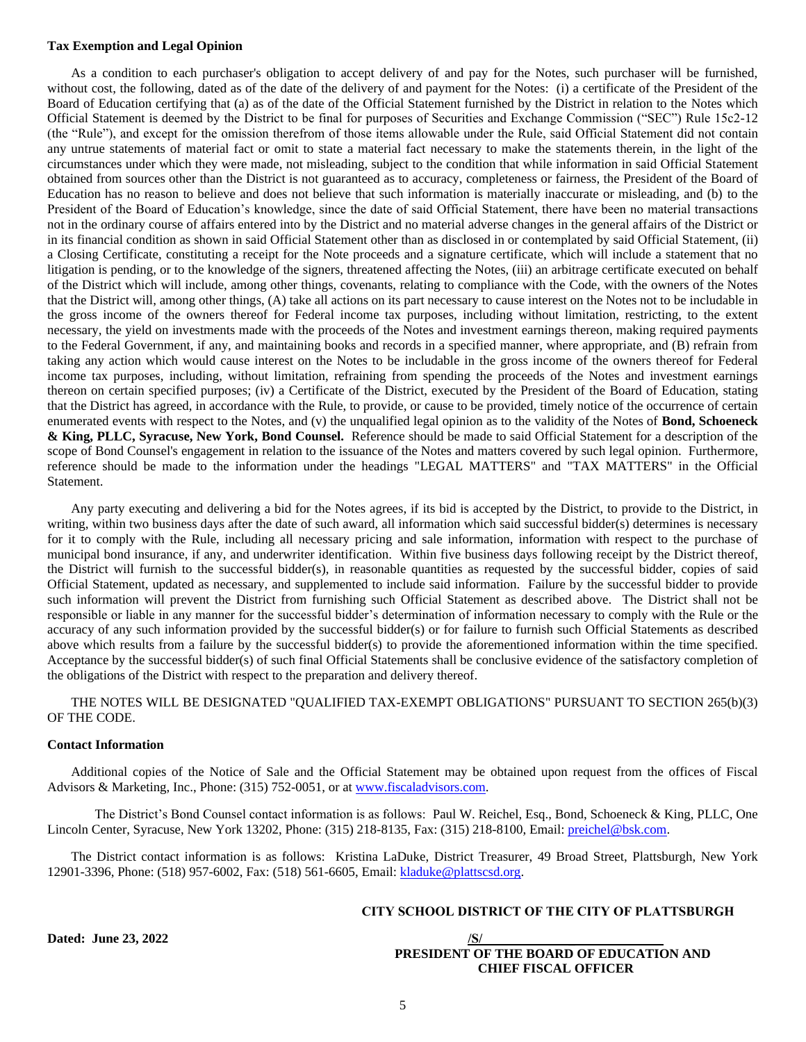## **Tax Exemption and Legal Opinion**

As a condition to each purchaser's obligation to accept delivery of and pay for the Notes, such purchaser will be furnished, without cost, the following, dated as of the date of the delivery of and payment for the Notes: (i) a certificate of the President of the Board of Education certifying that (a) as of the date of the Official Statement furnished by the District in relation to the Notes which Official Statement is deemed by the District to be final for purposes of Securities and Exchange Commission ("SEC") Rule 15c2-12 (the "Rule"), and except for the omission therefrom of those items allowable under the Rule, said Official Statement did not contain any untrue statements of material fact or omit to state a material fact necessary to make the statements therein, in the light of the circumstances under which they were made, not misleading, subject to the condition that while information in said Official Statement obtained from sources other than the District is not guaranteed as to accuracy, completeness or fairness, the President of the Board of Education has no reason to believe and does not believe that such information is materially inaccurate or misleading, and (b) to the President of the Board of Education's knowledge, since the date of said Official Statement, there have been no material transactions not in the ordinary course of affairs entered into by the District and no material adverse changes in the general affairs of the District or in its financial condition as shown in said Official Statement other than as disclosed in or contemplated by said Official Statement, (ii) a Closing Certificate, constituting a receipt for the Note proceeds and a signature certificate, which will include a statement that no litigation is pending, or to the knowledge of the signers, threatened affecting the Notes, (iii) an arbitrage certificate executed on behalf of the District which will include, among other things, covenants, relating to compliance with the Code, with the owners of the Notes that the District will, among other things, (A) take all actions on its part necessary to cause interest on the Notes not to be includable in the gross income of the owners thereof for Federal income tax purposes, including without limitation, restricting, to the extent necessary, the yield on investments made with the proceeds of the Notes and investment earnings thereon, making required payments to the Federal Government, if any, and maintaining books and records in a specified manner, where appropriate, and (B) refrain from taking any action which would cause interest on the Notes to be includable in the gross income of the owners thereof for Federal income tax purposes, including, without limitation, refraining from spending the proceeds of the Notes and investment earnings thereon on certain specified purposes; (iv) a Certificate of the District, executed by the President of the Board of Education, stating that the District has agreed, in accordance with the Rule, to provide, or cause to be provided, timely notice of the occurrence of certain enumerated events with respect to the Notes, and (v) the unqualified legal opinion as to the validity of the Notes of **Bond, Schoeneck & King, PLLC, Syracuse, New York, Bond Counsel.** Reference should be made to said Official Statement for a description of the scope of Bond Counsel's engagement in relation to the issuance of the Notes and matters covered by such legal opinion. Furthermore, reference should be made to the information under the headings "LEGAL MATTERS" and "TAX MATTERS" in the Official Statement.

Any party executing and delivering a bid for the Notes agrees, if its bid is accepted by the District, to provide to the District, in writing, within two business days after the date of such award, all information which said successful bidder(s) determines is necessary for it to comply with the Rule, including all necessary pricing and sale information, information with respect to the purchase of municipal bond insurance, if any, and underwriter identification. Within five business days following receipt by the District thereof, the District will furnish to the successful bidder(s), in reasonable quantities as requested by the successful bidder, copies of said Official Statement, updated as necessary, and supplemented to include said information. Failure by the successful bidder to provide such information will prevent the District from furnishing such Official Statement as described above. The District shall not be responsible or liable in any manner for the successful bidder's determination of information necessary to comply with the Rule or the accuracy of any such information provided by the successful bidder(s) or for failure to furnish such Official Statements as described above which results from a failure by the successful bidder(s) to provide the aforementioned information within the time specified. Acceptance by the successful bidder(s) of such final Official Statements shall be conclusive evidence of the satisfactory completion of the obligations of the District with respect to the preparation and delivery thereof.

## THE NOTES WILL BE DESIGNATED "QUALIFIED TAX-EXEMPT OBLIGATIONS" PURSUANT TO SECTION 265(b)(3) OF THE CODE.

## **Contact Information**

Additional copies of the Notice of Sale and the Official Statement may be obtained upon request from the offices of Fiscal Advisors & Marketing, Inc., Phone: (315) 752-0051, or at [www.fiscaladvisors.com.](http://www.fiscaladvisors.com/)

The District's Bond Counsel contact information is as follows: Paul W. Reichel, Esq., Bond, Schoeneck & King, PLLC, One Lincoln Center, Syracuse, New York 13202, Phone: (315) 218-8135, Fax: (315) 218-8100, Email[: preichel@bsk.com.](mailto:preichel@bsk.com)

The District contact information is as follows: Kristina LaDuke, District Treasurer, 49 Broad Street, Plattsburgh, New York 12901-3396, Phone: (518) 957-6002, Fax: (518) 561-6605, Email: [kladuke@plattscsd.org.](mailto:kladuke@plattscsd.org)

## **CITY SCHOOL DISTRICT OF THE CITY OF PLATTSBURGH**

 $Data: June 23, 2022$ 

# **PRESIDENT OF THE BOARD OF EDUCATION AND CHIEF FISCAL OFFICER**